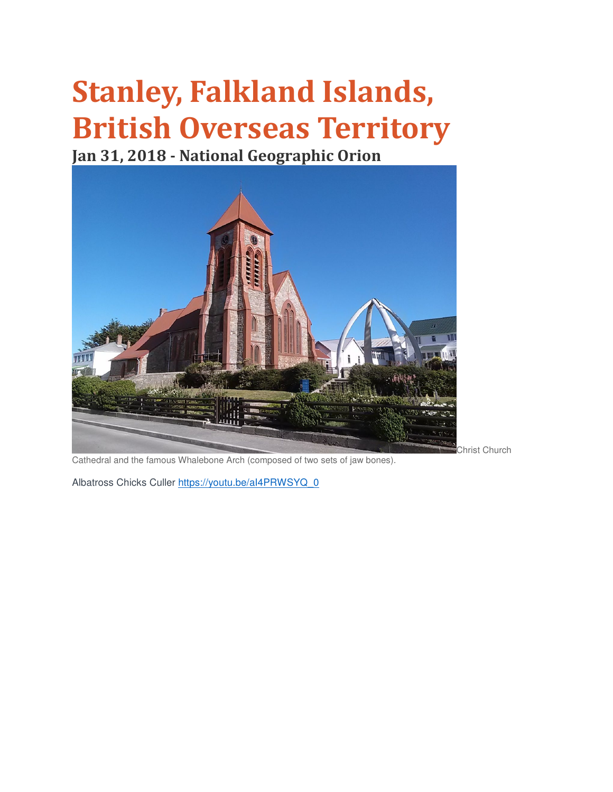## Stanley, Falkland Islands, British Overseas Territory

Jan 31, 2018 - National Geographic Orion



Cathedral and the famous Whalebone Arch (composed of two sets of jaw bones).

Albatross Chicks Culler https://youtu.be/aI4PRWSYQ\_0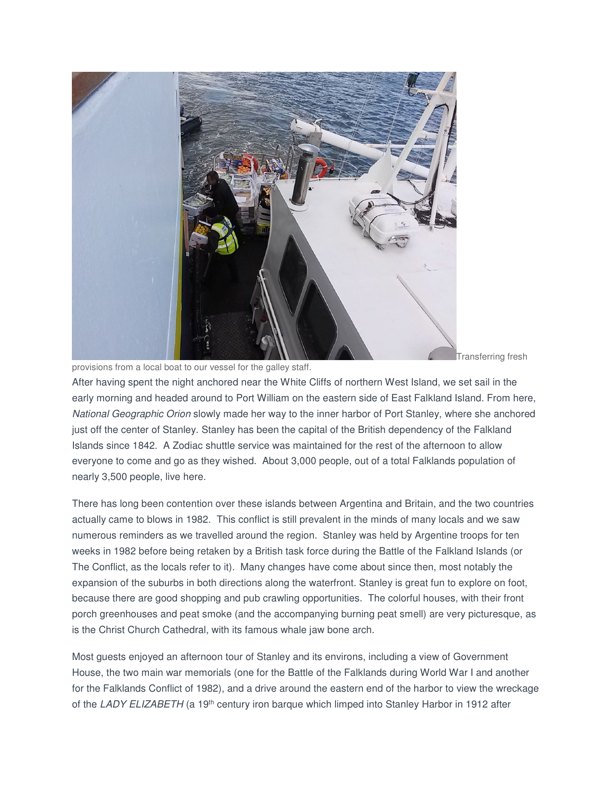

Transferring fresh

provisions from a local boat to our vessel for the galley staff. After having spent the night anchored near the White Cliffs of northern West Island, we set sail in the early morning and headed around to Port William on the eastern side of East Falkland Island. From here, National Geographic Orion slowly made her way to the inner harbor of Port Stanley, where she anchored just off the center of Stanley. Stanley has been the capital of the British dependency of the Falkland Islands since 1842. A Zodiac shuttle service was maintained for the rest of the afternoon to allow

everyone to come and go as they wished. About 3,000 people, out of a total Falklands population of nearly 3,500 people, live here.

There has long been contention over these islands between Argentina and Britain, and the two countries actually came to blows in 1982. This conflict is still prevalent in the minds of many locals and we saw numerous reminders as we travelled around the region. Stanley was held by Argentine troops for ten weeks in 1982 before being retaken by a British task force during the Battle of the Falkland Islands (or The Conflict, as the locals refer to it). Many changes have come about since then, most notably the expansion of the suburbs in both directions along the waterfront. Stanley is great fun to explore on foot, because there are good shopping and pub crawling opportunities. The colorful houses, with their front porch greenhouses and peat smoke (and the accompanying burning peat smell) are very picturesque, as is the Christ Church Cathedral, with its famous whale jaw bone arch.

Most guests enjoyed an afternoon tour of Stanley and its environs, including a view of Government House, the two main war memorials (one for the Battle of the Falklands during World War I and another for the Falklands Conflict of 1982), and a drive around the eastern end of the harbor to view the wreckage of the LADY ELIZABETH (a 19<sup>th</sup> century iron barque which limped into Stanley Harbor in 1912 after